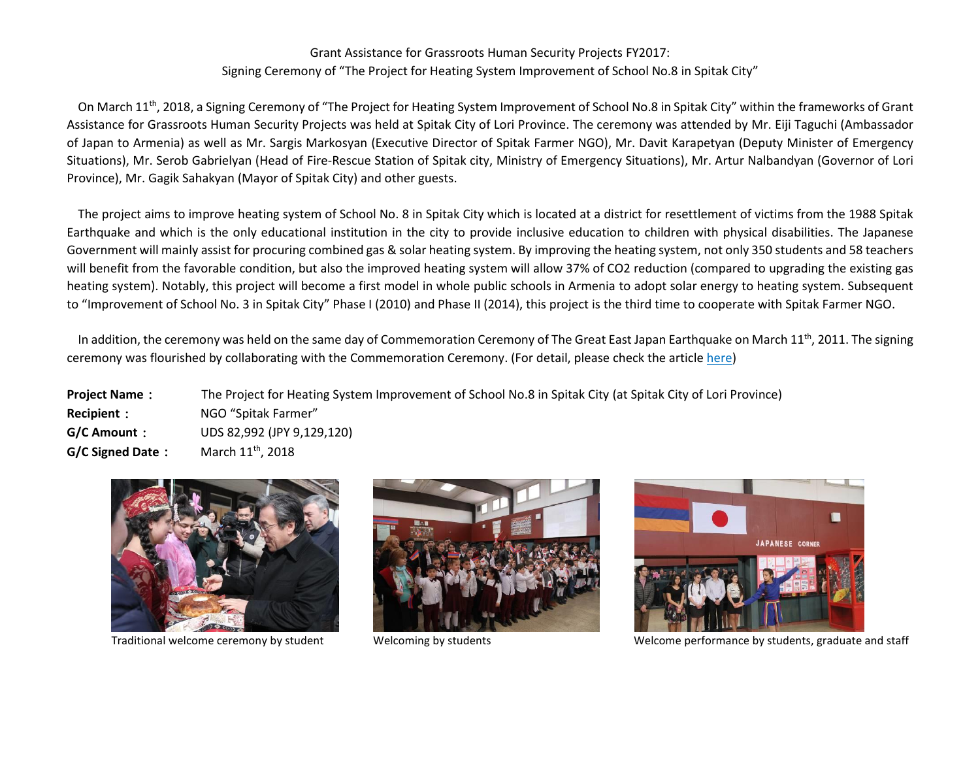## Grant Assistance for Grassroots Human Security Projects FY2017: Signing Ceremony of "The Project for Heating System Improvement of School No.8 in Spitak City"

On March 11<sup>th</sup>, 2018, a Signing Ceremony of "The Project for Heating System Improvement of School No.8 in Spitak City" within the frameworks of Grant Assistance for Grassroots Human Security Projects was held at Spitak City of Lori Province. The ceremony was attended by Mr. Eiji Taguchi (Ambassador of Japan to Armenia) as well as Mr. Sargis Markosyan (Executive Director of Spitak Farmer NGO), Mr. Davit Karapetyan (Deputy Minister of Emergency Situations), Mr. Serob Gabrielyan (Head of Fire-Rescue Station of Spitak city, Ministry of Emergency Situations), Mr. Artur Nalbandyan (Governor of Lori Province), Mr. Gagik Sahakyan (Mayor of Spitak City) and other guests.

The project aims to improve heating system of School No. 8 in Spitak City which is located at a district for resettlement of victims from the 1988 Spitak Earthquake and which is the only educational institution in the city to provide inclusive education to children with physical disabilities. The Japanese Government will mainly assist for procuring combined gas & solar heating system. By improving the heating system, not only 350 students and 58 teachers will benefit from the favorable condition, but also the improved heating system will allow 37% of CO2 reduction (compared to upgrading the existing gas heating system). Notably, this project will become a first model in whole public schools in Armenia to adopt solar energy to heating system. Subsequent to "Improvement of School No. 3 in Spitak City" Phase I (2010) and Phase II (2014), this project is the third time to cooperate with Spitak Farmer NGO.

In addition, the ceremony was held on the same day of Commemoration Ceremony of The Great East Japan Earthquake on March  $11<sup>th</sup>$ , 2011. The signing ceremony was flourished by collaborating with the Commemoration Ceremony. (For detail, please check the article here)

**Project Name**: The Project for Heating System Improvement of School No.8 in Spitak City (at Spitak City of Lori Province) **Recipient**: NGO "Spitak Farmer" **G/C Amount**: UDS 82,992 (JPY 9,129,120) **G/C Signed Date:** March 11<sup>th</sup>, 2018







Traditional welcome ceremony by student Welcoming by students Welcome performance by students, graduate and staff